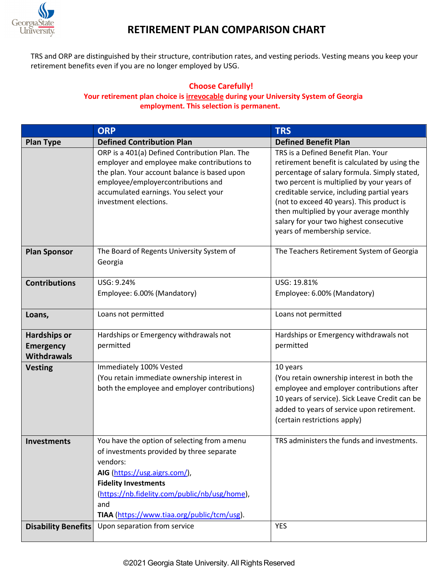

## **RETIREMENT PLAN COMPARISON CHART**

TRS and ORP are distinguished by their structure, contribution rates, and vesting periods. Vesting means you keep your retirement benefits even if you are no longer employed by USG.

## **Choose Carefully! Your retirement plan choice is irrevocable during your University System of Georgia employment. This selection is permanent.**

|                                                               | <b>ORP</b>                                                                                                                                                                                                                                                                   | <b>TRS</b>                                                                                                                                                                                                                                                                                                                                                                                           |
|---------------------------------------------------------------|------------------------------------------------------------------------------------------------------------------------------------------------------------------------------------------------------------------------------------------------------------------------------|------------------------------------------------------------------------------------------------------------------------------------------------------------------------------------------------------------------------------------------------------------------------------------------------------------------------------------------------------------------------------------------------------|
| <b>Plan Type</b>                                              | <b>Defined Contribution Plan</b>                                                                                                                                                                                                                                             | <b>Defined Benefit Plan</b>                                                                                                                                                                                                                                                                                                                                                                          |
|                                                               | ORP is a 401(a) Defined Contribution Plan. The<br>employer and employee make contributions to<br>the plan. Your account balance is based upon<br>employee/employercontributions and<br>accumulated earnings. You select your<br>investment elections.                        | TRS is a Defined Benefit Plan. Your<br>retirement benefit is calculated by using the<br>percentage of salary formula. Simply stated,<br>two percent is multiplied by your years of<br>creditable service, including partial years<br>(not to exceed 40 years). This product is<br>then multiplied by your average monthly<br>salary for your two highest consecutive<br>years of membership service. |
| <b>Plan Sponsor</b>                                           | The Board of Regents University System of<br>Georgia                                                                                                                                                                                                                         | The Teachers Retirement System of Georgia                                                                                                                                                                                                                                                                                                                                                            |
| <b>Contributions</b>                                          | USG: 9.24%<br>Employee: 6.00% (Mandatory)                                                                                                                                                                                                                                    | USG: 19.81%<br>Employee: 6.00% (Mandatory)                                                                                                                                                                                                                                                                                                                                                           |
| Loans,                                                        | Loans not permitted                                                                                                                                                                                                                                                          | Loans not permitted                                                                                                                                                                                                                                                                                                                                                                                  |
| <b>Hardships or</b><br><b>Emergency</b><br><b>Withdrawals</b> | Hardships or Emergency withdrawals not<br>permitted                                                                                                                                                                                                                          | Hardships or Emergency withdrawals not<br>permitted                                                                                                                                                                                                                                                                                                                                                  |
| <b>Vesting</b>                                                | Immediately 100% Vested<br>(You retain immediate ownership interest in<br>both the employee and employer contributions)                                                                                                                                                      | 10 years<br>(You retain ownership interest in both the<br>employee and employer contributions after<br>10 years of service). Sick Leave Credit can be<br>added to years of service upon retirement.<br>(certain restrictions apply)                                                                                                                                                                  |
| <b>Investments</b>                                            | You have the option of selecting from a menu<br>of investments provided by three separate<br>vendors:<br>AIG (https://usg.aigrs.com/),<br><b>Fidelity Investments</b><br>(https://nb.fidelity.com/public/nb/usg/home),<br>and<br>TIAA (https://www.tiaa.org/public/tcm/usg). | TRS administers the funds and investments.                                                                                                                                                                                                                                                                                                                                                           |
| <b>Disability Benefits</b>                                    | Upon separation from service                                                                                                                                                                                                                                                 | <b>YES</b>                                                                                                                                                                                                                                                                                                                                                                                           |